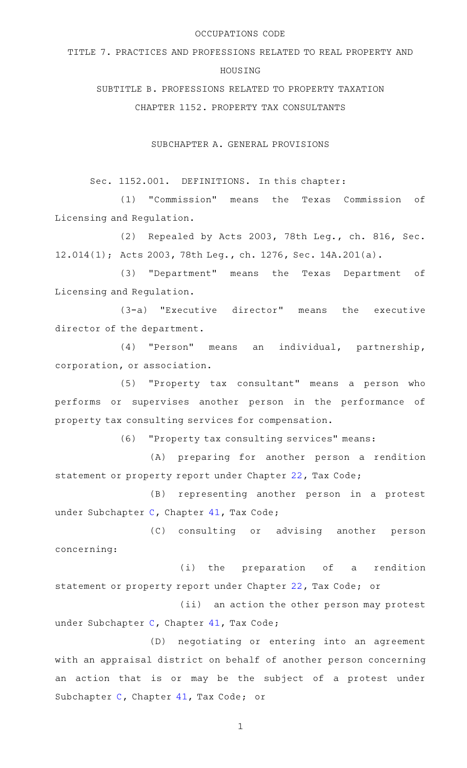#### OCCUPATIONS CODE

TITLE 7. PRACTICES AND PROFESSIONS RELATED TO REAL PROPERTY AND

### HOUSING

SUBTITLE B. PROFESSIONS RELATED TO PROPERTY TAXATION

CHAPTER 1152. PROPERTY TAX CONSULTANTS

SUBCHAPTER A. GENERAL PROVISIONS

Sec. 1152.001. DEFINITIONS. In this chapter:

(1) "Commission" means the Texas Commission of Licensing and Regulation.

(2) Repealed by Acts 2003, 78th Leg., ch. 816, Sec. 12.014(1); Acts 2003, 78th Leg., ch. 1276, Sec. 14A.201(a).

(3) "Department" means the Texas Department of Licensing and Regulation.

(3-a) "Executive director" means the executive director of the department.

(4) "Person" means an individual, partnership, corporation, or association.

(5) "Property tax consultant" means a person who performs or supervises another person in the performance of property tax consulting services for compensation.

(6) "Property tax consulting services" means:

(A) preparing for another person a rendition statement or property report under Chapter [22,](http://www.statutes.legis.state.tx.us/GetStatute.aspx?Code=TX&Value=22) Tax Code;

(B) representing another person in a protest under Subchapter [C,](http://www.statutes.legis.state.tx.us/GetStatute.aspx?Code=TX&Value=41.41) Chapter [41](http://www.statutes.legis.state.tx.us/GetStatute.aspx?Code=TX&Value=41), Tax Code;

(C) consulting or advising another person concerning:

(i) the preparation of a rendition statement or property report under Chapter [22,](http://www.statutes.legis.state.tx.us/GetStatute.aspx?Code=TX&Value=22) Tax Code; or

(ii) an action the other person may protest under Subchapter [C,](http://www.statutes.legis.state.tx.us/GetStatute.aspx?Code=TX&Value=41.41) Chapter [41](http://www.statutes.legis.state.tx.us/GetStatute.aspx?Code=TX&Value=41), Tax Code;

(D) negotiating or entering into an agreement with an appraisal district on behalf of another person concerning an action that is or may be the subject of a protest under Subchapter [C](http://www.statutes.legis.state.tx.us/GetStatute.aspx?Code=TX&Value=41.41), Chapter [41,](http://www.statutes.legis.state.tx.us/GetStatute.aspx?Code=TX&Value=41) Tax Code; or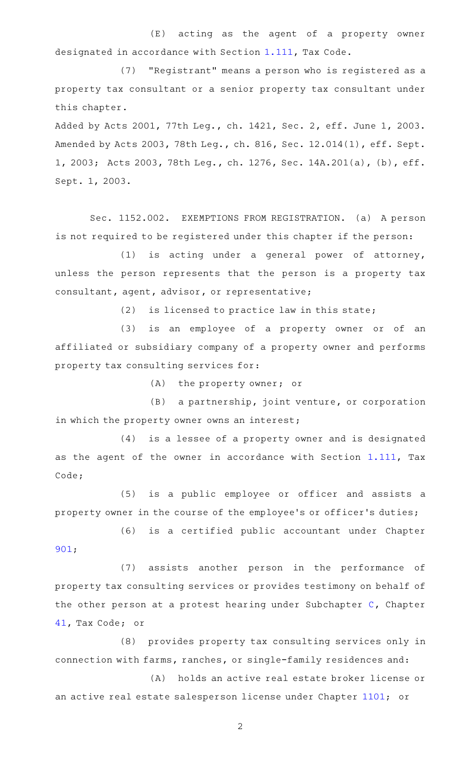(E) acting as the agent of a property owner designated in accordance with Section [1.111,](http://www.statutes.legis.state.tx.us/GetStatute.aspx?Code=TX&Value=1.111) Tax Code.

(7) "Registrant" means a person who is registered as a property tax consultant or a senior property tax consultant under this chapter.

Added by Acts 2001, 77th Leg., ch. 1421, Sec. 2, eff. June 1, 2003. Amended by Acts 2003, 78th Leg., ch. 816, Sec. 12.014(1), eff. Sept. 1, 2003; Acts 2003, 78th Leg., ch. 1276, Sec. 14A.201(a), (b), eff. Sept. 1, 2003.

Sec. 1152.002. EXEMPTIONS FROM REGISTRATION. (a) A person is not required to be registered under this chapter if the person:

 $(1)$  is acting under a general power of attorney, unless the person represents that the person is a property tax consultant, agent, advisor, or representative;

 $(2)$  is licensed to practice law in this state;

(3) is an employee of a property owner or of an affiliated or subsidiary company of a property owner and performs property tax consulting services for:

 $(A)$  the property owner; or

(B) a partnership, joint venture, or corporation in which the property owner owns an interest;

(4) is a lessee of a property owner and is designated as the agent of the owner in accordance with Section [1.111](http://www.statutes.legis.state.tx.us/GetStatute.aspx?Code=TX&Value=1.111), Tax Code;

(5) is a public employee or officer and assists a property owner in the course of the employee 's or officer 's duties;

(6) is a certified public accountant under Chapter [901;](http://www.statutes.legis.state.tx.us/GetStatute.aspx?Code=OC&Value=901)

(7) assists another person in the performance of property tax consulting services or provides testimony on behalf of the other person at a protest hearing under Subchapter [C,](http://www.statutes.legis.state.tx.us/GetStatute.aspx?Code=TX&Value=41.41) Chapter [41](http://www.statutes.legis.state.tx.us/GetStatute.aspx?Code=TX&Value=41), Tax Code; or

(8) provides property tax consulting services only in connection with farms, ranches, or single-family residences and:

(A) holds an active real estate broker license or an active real estate salesperson license under Chapter [1101;](http://www.statutes.legis.state.tx.us/GetStatute.aspx?Code=OC&Value=1101) or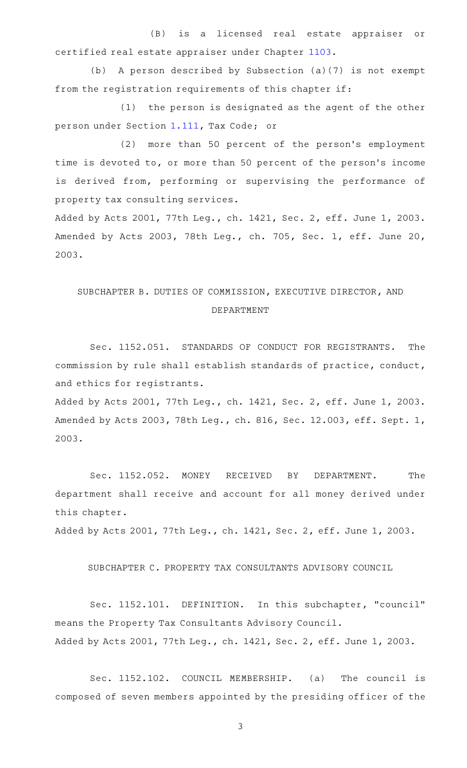(B) is a licensed real estate appraiser or certified real estate appraiser under Chapter [1103](http://www.statutes.legis.state.tx.us/GetStatute.aspx?Code=OC&Value=1103).

(b) A person described by Subsection (a)(7) is not exempt from the registration requirements of this chapter if:

 $(1)$  the person is designated as the agent of the other person under Section [1.111,](http://www.statutes.legis.state.tx.us/GetStatute.aspx?Code=TX&Value=1.111) Tax Code; or

(2) more than 50 percent of the person's employment time is devoted to, or more than 50 percent of the person's income is derived from, performing or supervising the performance of property tax consulting services.

Added by Acts 2001, 77th Leg., ch. 1421, Sec. 2, eff. June 1, 2003. Amended by Acts 2003, 78th Leg., ch. 705, Sec. 1, eff. June 20, 2003.

# SUBCHAPTER B. DUTIES OF COMMISSION, EXECUTIVE DIRECTOR, AND DEPARTMENT

Sec. 1152.051. STANDARDS OF CONDUCT FOR REGISTRANTS. The commission by rule shall establish standards of practice, conduct, and ethics for registrants.

Added by Acts 2001, 77th Leg., ch. 1421, Sec. 2, eff. June 1, 2003. Amended by Acts 2003, 78th Leg., ch. 816, Sec. 12.003, eff. Sept. 1, 2003.

Sec. 1152.052. MONEY RECEIVED BY DEPARTMENT. The department shall receive and account for all money derived under this chapter.

Added by Acts 2001, 77th Leg., ch. 1421, Sec. 2, eff. June 1, 2003.

## SUBCHAPTER C. PROPERTY TAX CONSULTANTS ADVISORY COUNCIL

Sec. 1152.101. DEFINITION. In this subchapter, "council" means the Property Tax Consultants Advisory Council. Added by Acts 2001, 77th Leg., ch. 1421, Sec. 2, eff. June 1, 2003.

Sec. 1152.102. COUNCIL MEMBERSHIP. (a) The council is composed of seven members appointed by the presiding officer of the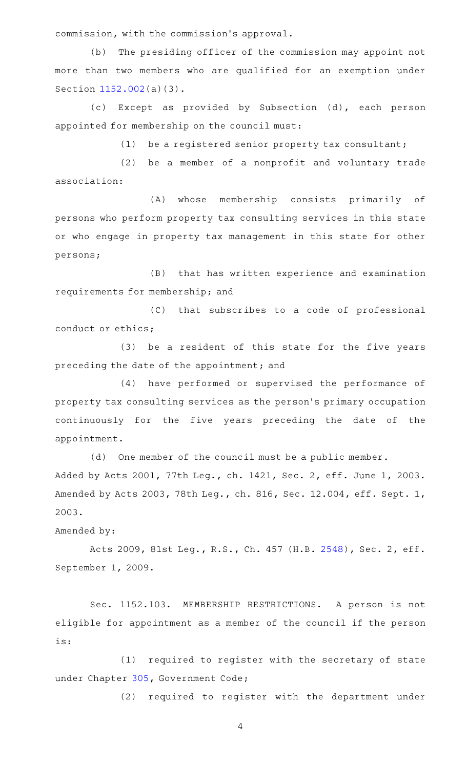commission, with the commission 's approval.

(b) The presiding officer of the commission may appoint not more than two members who are qualified for an exemption under Section [1152.002](http://www.statutes.legis.state.tx.us/GetStatute.aspx?Code=OC&Value=1152.002)(a)(3).

(c) Except as provided by Subsection (d), each person appointed for membership on the council must:

 $(1)$  be a registered senior property tax consultant;

(2) be a member of a nonprofit and voluntary trade association:

(A) whose membership consists primarily of persons who perform property tax consulting services in this state or who engage in property tax management in this state for other persons;

(B) that has written experience and examination requirements for membership; and

(C) that subscribes to a code of professional conduct or ethics;

(3) be a resident of this state for the five years preceding the date of the appointment; and

(4) have performed or supervised the performance of property tax consulting services as the person 's primary occupation continuously for the five years preceding the date of the appointment.

 $(d)$  One member of the council must be a public member. Added by Acts 2001, 77th Leg., ch. 1421, Sec. 2, eff. June 1, 2003. Amended by Acts 2003, 78th Leg., ch. 816, Sec. 12.004, eff. Sept. 1,

Amended by:

2003.

Acts 2009, 81st Leg., R.S., Ch. 457 (H.B. [2548](http://www.legis.state.tx.us/tlodocs/81R/billtext/html/HB02548F.HTM)), Sec. 2, eff. September 1, 2009.

Sec. 1152.103. MEMBERSHIP RESTRICTIONS. A person is not eligible for appointment as a member of the council if the person is:

(1) required to register with the secretary of state under Chapter [305](http://www.statutes.legis.state.tx.us/GetStatute.aspx?Code=GV&Value=305), Government Code;

(2) required to register with the department under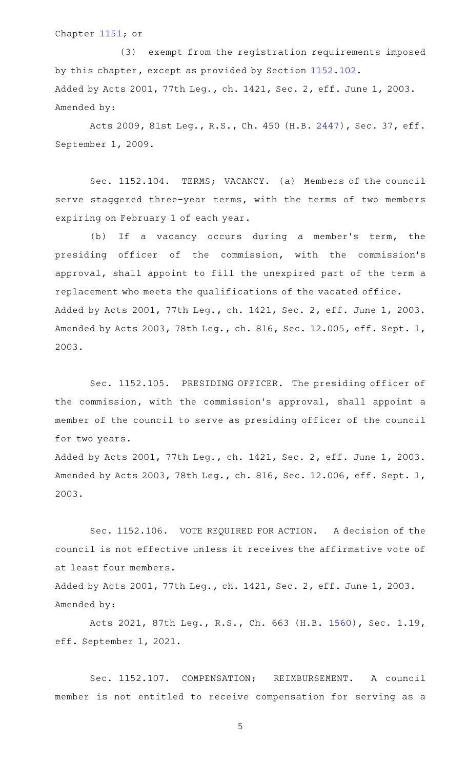Chapter [1151](http://www.statutes.legis.state.tx.us/GetStatute.aspx?Code=OC&Value=1151); or

(3) exempt from the registration requirements imposed by this chapter, except as provided by Section [1152.102](http://www.statutes.legis.state.tx.us/GetStatute.aspx?Code=OC&Value=1152.102). Added by Acts 2001, 77th Leg., ch. 1421, Sec. 2, eff. June 1, 2003. Amended by:

Acts 2009, 81st Leg., R.S., Ch. 450 (H.B. [2447\)](http://www.legis.state.tx.us/tlodocs/81R/billtext/html/HB02447F.HTM), Sec. 37, eff. September 1, 2009.

Sec. 1152.104. TERMS; VACANCY. (a) Members of the council serve staggered three-year terms, with the terms of two members expiring on February 1 of each year.

(b) If a vacancy occurs during a member's term, the presiding officer of the commission, with the commission 's approval, shall appoint to fill the unexpired part of the term a replacement who meets the qualifications of the vacated office. Added by Acts 2001, 77th Leg., ch. 1421, Sec. 2, eff. June 1, 2003. Amended by Acts 2003, 78th Leg., ch. 816, Sec. 12.005, eff. Sept. 1, 2003.

Sec. 1152.105. PRESIDING OFFICER. The presiding officer of the commission, with the commission 's approval, shall appoint a member of the council to serve as presiding officer of the council for two years.

Added by Acts 2001, 77th Leg., ch. 1421, Sec. 2, eff. June 1, 2003. Amended by Acts 2003, 78th Leg., ch. 816, Sec. 12.006, eff. Sept. 1, 2003.

Sec. 1152.106. VOTE REQUIRED FOR ACTION. A decision of the council is not effective unless it receives the affirmative vote of at least four members.

Added by Acts 2001, 77th Leg., ch. 1421, Sec. 2, eff. June 1, 2003. Amended by:

Acts 2021, 87th Leg., R.S., Ch. 663 (H.B. [1560\)](http://www.legis.state.tx.us/tlodocs/87R/billtext/html/HB01560F.HTM), Sec. 1.19, eff. September 1, 2021.

Sec. 1152.107. COMPENSATION; REIMBURSEMENT. A council member is not entitled to receive compensation for serving as a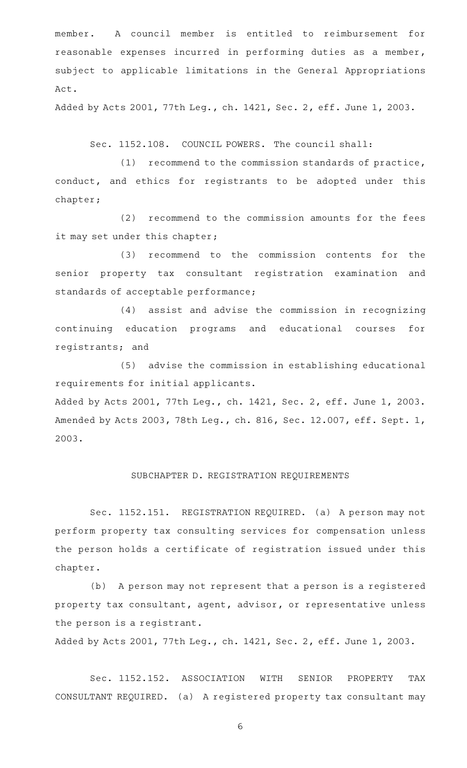member. A council member is entitled to reimbursement for reasonable expenses incurred in performing duties as a member, subject to applicable limitations in the General Appropriations Act.

Added by Acts 2001, 77th Leg., ch. 1421, Sec. 2, eff. June 1, 2003.

Sec. 1152.108. COUNCIL POWERS. The council shall:

 $(1)$  recommend to the commission standards of practice, conduct, and ethics for registrants to be adopted under this chapter;

(2) recommend to the commission amounts for the fees it may set under this chapter;

(3) recommend to the commission contents for the senior property tax consultant registration examination and standards of acceptable performance;

(4) assist and advise the commission in recognizing continuing education programs and educational courses for registrants; and

(5) advise the commission in establishing educational requirements for initial applicants.

Added by Acts 2001, 77th Leg., ch. 1421, Sec. 2, eff. June 1, 2003. Amended by Acts 2003, 78th Leg., ch. 816, Sec. 12.007, eff. Sept. 1, 2003.

#### SUBCHAPTER D. REGISTRATION REQUIREMENTS

Sec. 1152.151. REGISTRATION REQUIRED. (a) A person may not perform property tax consulting services for compensation unless the person holds a certificate of registration issued under this chapter.

(b) A person may not represent that a person is a registered property tax consultant, agent, advisor, or representative unless the person is a registrant.

Added by Acts 2001, 77th Leg., ch. 1421, Sec. 2, eff. June 1, 2003.

Sec. 1152.152. ASSOCIATION WITH SENIOR PROPERTY TAX CONSULTANT REQUIRED. (a) A registered property tax consultant may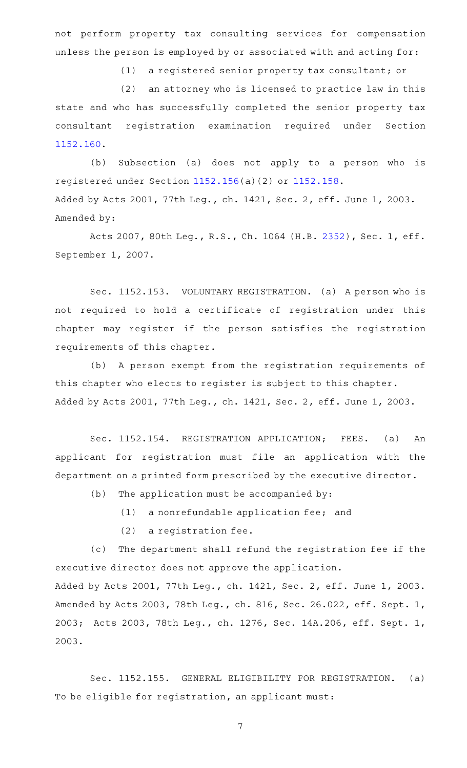not perform property tax consulting services for compensation unless the person is employed by or associated with and acting for:

(1) a registered senior property tax consultant; or

(2) an attorney who is licensed to practice law in this state and who has successfully completed the senior property tax consultant registration examination required under Section [1152.160](http://www.statutes.legis.state.tx.us/GetStatute.aspx?Code=OC&Value=1152.160).

(b) Subsection (a) does not apply to a person who is registered under Section [1152.156\(](http://www.statutes.legis.state.tx.us/GetStatute.aspx?Code=OC&Value=1152.156)a)(2) or [1152.158](http://www.statutes.legis.state.tx.us/GetStatute.aspx?Code=OC&Value=1152.158). Added by Acts 2001, 77th Leg., ch. 1421, Sec. 2, eff. June 1, 2003. Amended by:

Acts 2007, 80th Leg., R.S., Ch. 1064 (H.B. [2352](http://www.legis.state.tx.us/tlodocs/80R/billtext/html/HB02352F.HTM)), Sec. 1, eff. September 1, 2007.

Sec. 1152.153. VOLUNTARY REGISTRATION. (a) A person who is not required to hold a certificate of registration under this chapter may register if the person satisfies the registration requirements of this chapter.

(b) A person exempt from the registration requirements of this chapter who elects to register is subject to this chapter. Added by Acts 2001, 77th Leg., ch. 1421, Sec. 2, eff. June 1, 2003.

Sec. 1152.154. REGISTRATION APPLICATION; FEES. (a) An applicant for registration must file an application with the department on a printed form prescribed by the executive director.

- $(b)$  The application must be accompanied by:
	- $(1)$  a nonrefundable application fee; and
	- $(2)$  a registration fee.

(c) The department shall refund the registration fee if the executive director does not approve the application.

Added by Acts 2001, 77th Leg., ch. 1421, Sec. 2, eff. June 1, 2003. Amended by Acts 2003, 78th Leg., ch. 816, Sec. 26.022, eff. Sept. 1, 2003; Acts 2003, 78th Leg., ch. 1276, Sec. 14A.206, eff. Sept. 1, 2003.

Sec. 1152.155. GENERAL ELIGIBILITY FOR REGISTRATION. (a) To be eligible for registration, an applicant must: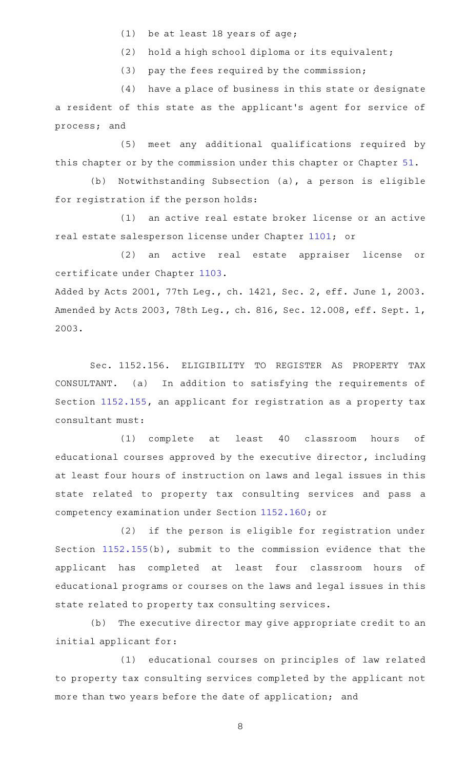- (1) be at least 18 years of age;
- (2) hold a high school diploma or its equivalent;

 $(3)$  pay the fees required by the commission;

(4) have a place of business in this state or designate a resident of this state as the applicant 's agent for service of process; and

(5) meet any additional qualifications required by this chapter or by the commission under this chapter or Chapter [51](http://www.statutes.legis.state.tx.us/GetStatute.aspx?Code=OC&Value=51).

(b) Notwithstanding Subsection (a), a person is eligible for registration if the person holds:

(1) an active real estate broker license or an active real estate salesperson license under Chapter [1101](http://www.statutes.legis.state.tx.us/GetStatute.aspx?Code=OC&Value=1101); or

(2) an active real estate appraiser license or certificate under Chapter [1103.](http://www.statutes.legis.state.tx.us/GetStatute.aspx?Code=OC&Value=1103)

Added by Acts 2001, 77th Leg., ch. 1421, Sec. 2, eff. June 1, 2003. Amended by Acts 2003, 78th Leg., ch. 816, Sec. 12.008, eff. Sept. 1, 2003.

Sec. 1152.156. ELIGIBILITY TO REGISTER AS PROPERTY TAX CONSULTANT. (a) In addition to satisfying the requirements of Section [1152.155](http://www.statutes.legis.state.tx.us/GetStatute.aspx?Code=OC&Value=1152.155), an applicant for registration as a property tax consultant must:

(1) complete at least 40 classroom hours of educational courses approved by the executive director, including at least four hours of instruction on laws and legal issues in this state related to property tax consulting services and pass a competency examination under Section [1152.160;](http://www.statutes.legis.state.tx.us/GetStatute.aspx?Code=OC&Value=1152.160) or

(2) if the person is eligible for registration under Section [1152.155](http://www.statutes.legis.state.tx.us/GetStatute.aspx?Code=OC&Value=1152.155)(b), submit to the commission evidence that the applicant has completed at least four classroom hours of educational programs or courses on the laws and legal issues in this state related to property tax consulting services.

(b) The executive director may give appropriate credit to an initial applicant for:

(1) educational courses on principles of law related to property tax consulting services completed by the applicant not more than two years before the date of application; and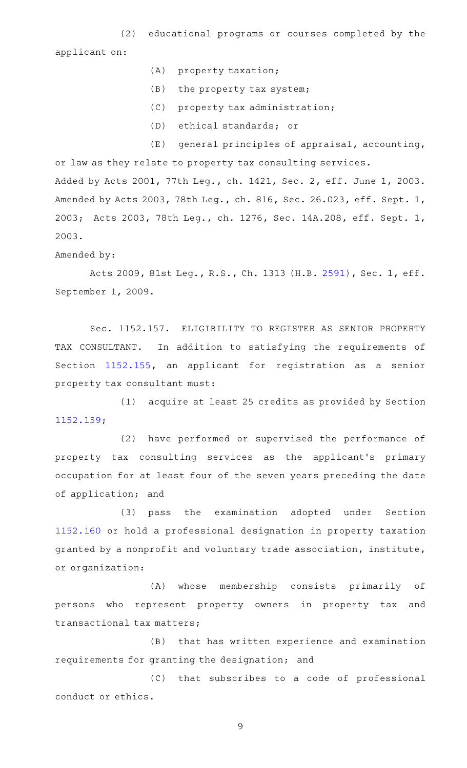(2) educational programs or courses completed by the applicant on:

- (A) property taxation;
- (B) the property tax system;
- (C) property tax administration;
- (D) ethical standards; or

 $(E)$  general principles of appraisal, accounting, or law as they relate to property tax consulting services. Added by Acts 2001, 77th Leg., ch. 1421, Sec. 2, eff. June 1, 2003. Amended by Acts 2003, 78th Leg., ch. 816, Sec. 26.023, eff. Sept. 1, 2003; Acts 2003, 78th Leg., ch. 1276, Sec. 14A.208, eff. Sept. 1, 2003.

Amended by:

Acts 2009, 81st Leg., R.S., Ch. 1313 (H.B. [2591](http://www.legis.state.tx.us/tlodocs/81R/billtext/html/HB02591F.HTM)), Sec. 1, eff. September 1, 2009.

Sec. 1152.157. ELIGIBILITY TO REGISTER AS SENIOR PROPERTY TAX CONSULTANT. In addition to satisfying the requirements of Section [1152.155,](http://www.statutes.legis.state.tx.us/GetStatute.aspx?Code=OC&Value=1152.155) an applicant for registration as a senior property tax consultant must:

(1) acquire at least 25 credits as provided by Section [1152.159](http://www.statutes.legis.state.tx.us/GetStatute.aspx?Code=OC&Value=1152.159);

(2) have performed or supervised the performance of property tax consulting services as the applicant 's primary occupation for at least four of the seven years preceding the date of application; and

(3) pass the examination adopted under Section [1152.160](http://www.statutes.legis.state.tx.us/GetStatute.aspx?Code=OC&Value=1152.160) or hold a professional designation in property taxation granted by a nonprofit and voluntary trade association, institute, or organization:

(A) whose membership consists primarily of persons who represent property owners in property tax and transactional tax matters;

(B) that has written experience and examination requirements for granting the designation; and

(C) that subscribes to a code of professional conduct or ethics.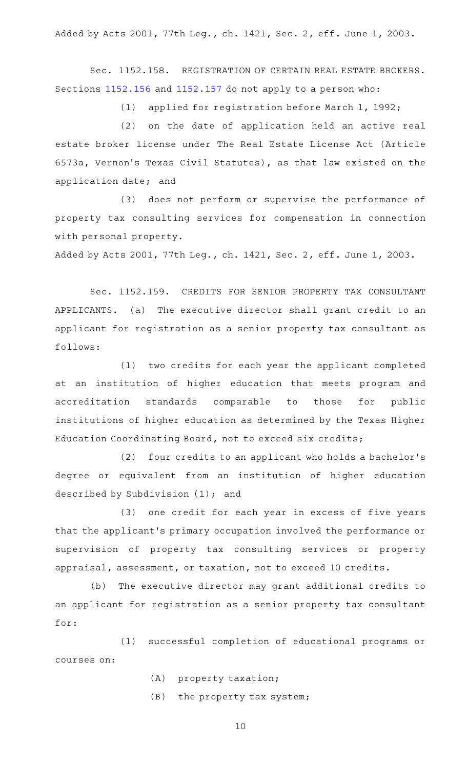Added by Acts 2001, 77th Leg., ch. 1421, Sec. 2, eff. June 1, 2003.

Sec. 1152.158. REGISTRATION OF CERTAIN REAL ESTATE BROKERS. Sections [1152.156](http://www.statutes.legis.state.tx.us/GetStatute.aspx?Code=OC&Value=1152.156) and [1152.157](http://www.statutes.legis.state.tx.us/GetStatute.aspx?Code=OC&Value=1152.157) do not apply to a person who:

(1) applied for registration before March 1, 1992;

(2) on the date of application held an active real estate broker license under The Real Estate License Act (Article 6573a, Vernon 's Texas Civil Statutes), as that law existed on the application date; and

(3) does not perform or supervise the performance of property tax consulting services for compensation in connection with personal property.

Added by Acts 2001, 77th Leg., ch. 1421, Sec. 2, eff. June 1, 2003.

Sec. 1152.159. CREDITS FOR SENIOR PROPERTY TAX CONSULTANT APPLICANTS. (a) The executive director shall grant credit to an applicant for registration as a senior property tax consultant as follows:

(1) two credits for each year the applicant completed at an institution of higher education that meets program and accreditation standards comparable to those for public institutions of higher education as determined by the Texas Higher Education Coordinating Board, not to exceed six credits;

(2) four credits to an applicant who holds a bachelor's degree or equivalent from an institution of higher education described by Subdivision (1); and

(3) one credit for each year in excess of five years that the applicant 's primary occupation involved the performance or supervision of property tax consulting services or property appraisal, assessment, or taxation, not to exceed 10 credits.

(b) The executive director may grant additional credits to an applicant for registration as a senior property tax consultant for:

(1) successful completion of educational programs or courses on:

- (A) property taxation;
- (B) the property tax system;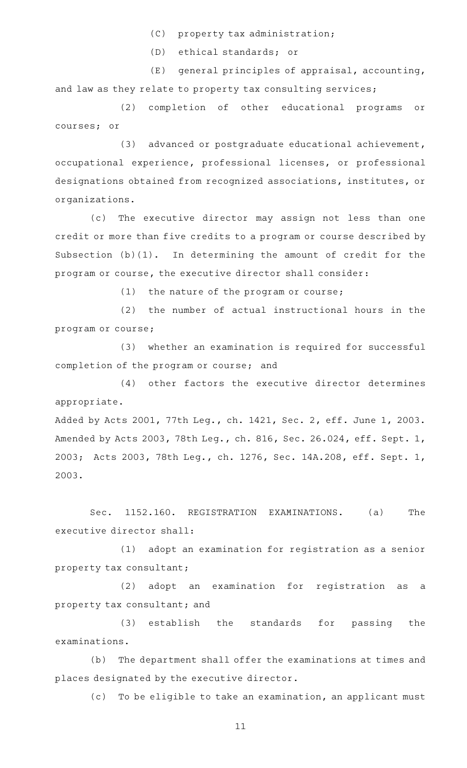- (C) property tax administration;
- (D) ethical standards; or

 $(E)$  general principles of appraisal, accounting, and law as they relate to property tax consulting services;

(2) completion of other educational programs or courses; or

(3) advanced or postgraduate educational achievement, occupational experience, professional licenses, or professional designations obtained from recognized associations, institutes, or organizations.

(c) The executive director may assign not less than one credit or more than five credits to a program or course described by Subsection (b)(1). In determining the amount of credit for the program or course, the executive director shall consider:

(1) the nature of the program or course;

 $(2)$  the number of actual instructional hours in the program or course;

(3) whether an examination is required for successful completion of the program or course; and

(4) other factors the executive director determines appropriate.

Added by Acts 2001, 77th Leg., ch. 1421, Sec. 2, eff. June 1, 2003. Amended by Acts 2003, 78th Leg., ch. 816, Sec. 26.024, eff. Sept. 1, 2003; Acts 2003, 78th Leg., ch. 1276, Sec. 14A.208, eff. Sept. 1, 2003.

Sec. 1152.160. REGISTRATION EXAMINATIONS. (a) The executive director shall:

 $(1)$  adopt an examination for registration as a senior property tax consultant;

(2) adopt an examination for registration as a property tax consultant; and

(3) establish the standards for passing the examinations.

(b) The department shall offer the examinations at times and places designated by the executive director.

(c) To be eligible to take an examination, an applicant must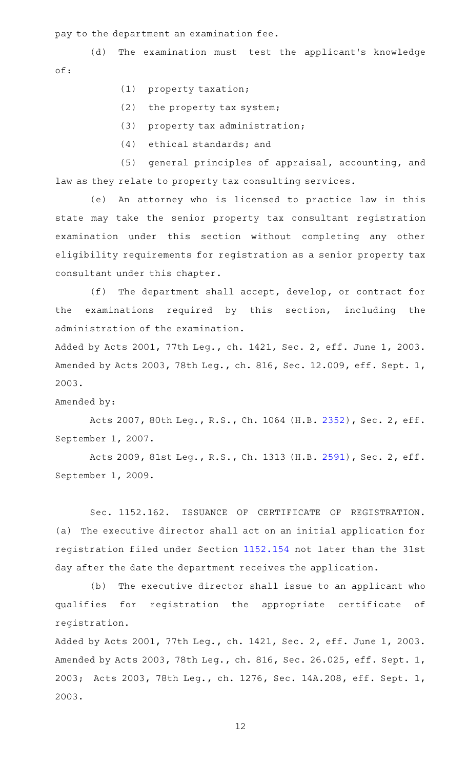pay to the department an examination fee.

(d) The examination must test the applicant's knowledge of:

- (1) property taxation;
- $(2)$  the property tax system;
- (3) property tax administration;
- $(4)$  ethical standards; and

(5) general principles of appraisal, accounting, and law as they relate to property tax consulting services.

(e) An attorney who is licensed to practice law in this state may take the senior property tax consultant registration examination under this section without completing any other eligibility requirements for registration as a senior property tax consultant under this chapter.

 $(f)$  The department shall accept, develop, or contract for the examinations required by this section, including the administration of the examination.

Added by Acts 2001, 77th Leg., ch. 1421, Sec. 2, eff. June 1, 2003. Amended by Acts 2003, 78th Leg., ch. 816, Sec. 12.009, eff. Sept. 1, 2003.

#### Amended by:

Acts 2007, 80th Leg., R.S., Ch. 1064 (H.B. [2352](http://www.legis.state.tx.us/tlodocs/80R/billtext/html/HB02352F.HTM)), Sec. 2, eff. September 1, 2007.

Acts 2009, 81st Leg., R.S., Ch. 1313 (H.B. [2591](http://www.legis.state.tx.us/tlodocs/81R/billtext/html/HB02591F.HTM)), Sec. 2, eff. September 1, 2009.

Sec. 1152.162. ISSUANCE OF CERTIFICATE OF REGISTRATION. (a) The executive director shall act on an initial application for registration filed under Section [1152.154](http://www.statutes.legis.state.tx.us/GetStatute.aspx?Code=OC&Value=1152.154) not later than the 31st day after the date the department receives the application.

(b) The executive director shall issue to an applicant who qualifies for registration the appropriate certificate of registration.

Added by Acts 2001, 77th Leg., ch. 1421, Sec. 2, eff. June 1, 2003. Amended by Acts 2003, 78th Leg., ch. 816, Sec. 26.025, eff. Sept. 1, 2003; Acts 2003, 78th Leg., ch. 1276, Sec. 14A.208, eff. Sept. 1, 2003.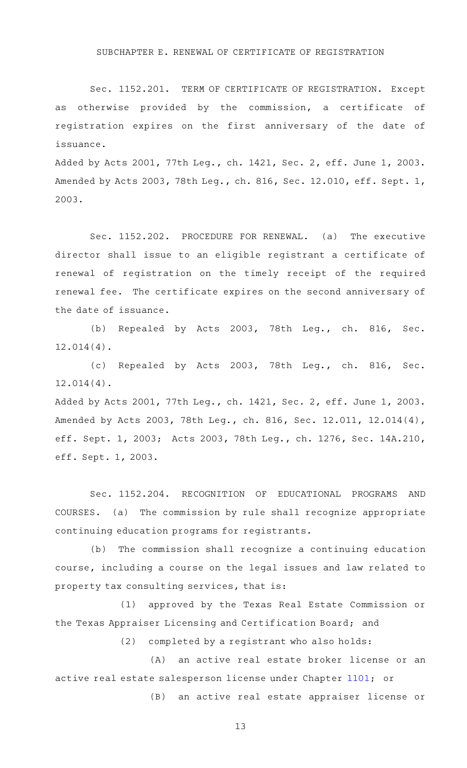#### SUBCHAPTER E. RENEWAL OF CERTIFICATE OF REGISTRATION

Sec. 1152.201. TERM OF CERTIFICATE OF REGISTRATION. Except as otherwise provided by the commission, a certificate of registration expires on the first anniversary of the date of issuance.

Added by Acts 2001, 77th Leg., ch. 1421, Sec. 2, eff. June 1, 2003. Amended by Acts 2003, 78th Leg., ch. 816, Sec. 12.010, eff. Sept. 1, 2003.

Sec. 1152.202. PROCEDURE FOR RENEWAL. (a) The executive director shall issue to an eligible registrant a certificate of renewal of registration on the timely receipt of the required renewal fee. The certificate expires on the second anniversary of the date of issuance.

(b) Repealed by Acts 2003, 78th Leg., ch. 816, Sec. 12.014(4).

(c) Repealed by Acts 2003, 78th Leg., ch. 816, Sec. 12.014(4).

Added by Acts 2001, 77th Leg., ch. 1421, Sec. 2, eff. June 1, 2003. Amended by Acts 2003, 78th Leg., ch. 816, Sec. 12.011, 12.014(4), eff. Sept. 1, 2003; Acts 2003, 78th Leg., ch. 1276, Sec. 14A.210, eff. Sept. 1, 2003.

Sec. 1152.204. RECOGNITION OF EDUCATIONAL PROGRAMS AND COURSES. (a) The commission by rule shall recognize appropriate continuing education programs for registrants.

 $(b)$  The commission shall recognize a continuing education course, including a course on the legal issues and law related to property tax consulting services, that is:

(1) approved by the Texas Real Estate Commission or the Texas Appraiser Licensing and Certification Board; and

 $(2)$  completed by a registrant who also holds:

(A) an active real estate broker license or an active real estate salesperson license under Chapter [1101;](http://www.statutes.legis.state.tx.us/GetStatute.aspx?Code=OC&Value=1101) or

(B) an active real estate appraiser license or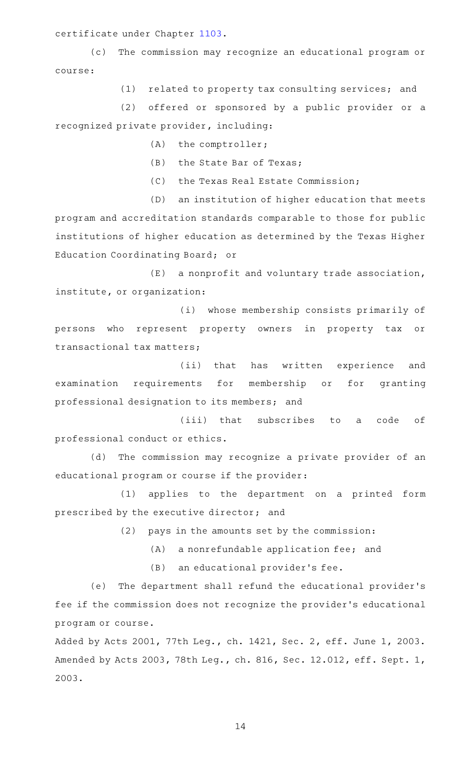certificate under Chapter [1103.](http://www.statutes.legis.state.tx.us/GetStatute.aspx?Code=OC&Value=1103)

(c) The commission may recognize an educational program or course:

(1) related to property tax consulting services; and

(2) offered or sponsored by a public provider or a recognized private provider, including:

 $(A)$  the comptroller;

(B) the State Bar of Texas;

(C) the Texas Real Estate Commission;

(D) an institution of higher education that meets program and accreditation standards comparable to those for public institutions of higher education as determined by the Texas Higher Education Coordinating Board; or

 $(E)$  a nonprofit and voluntary trade association, institute, or organization:

(i) whose membership consists primarily of persons who represent property owners in property tax or transactional tax matters;

(ii) that has written experience and examination requirements for membership or for granting professional designation to its members; and

(iii) that subscribes to a code of professional conduct or ethics.

(d) The commission may recognize a private provider of an educational program or course if the provider:

(1) applies to the department on a printed form prescribed by the executive director; and

(2) pays in the amounts set by the commission:

 $(A)$  a nonrefundable application fee; and

(B) an educational provider's fee.

(e) The department shall refund the educational provider's fee if the commission does not recognize the provider 's educational program or course.

Added by Acts 2001, 77th Leg., ch. 1421, Sec. 2, eff. June 1, 2003. Amended by Acts 2003, 78th Leg., ch. 816, Sec. 12.012, eff. Sept. 1, 2003.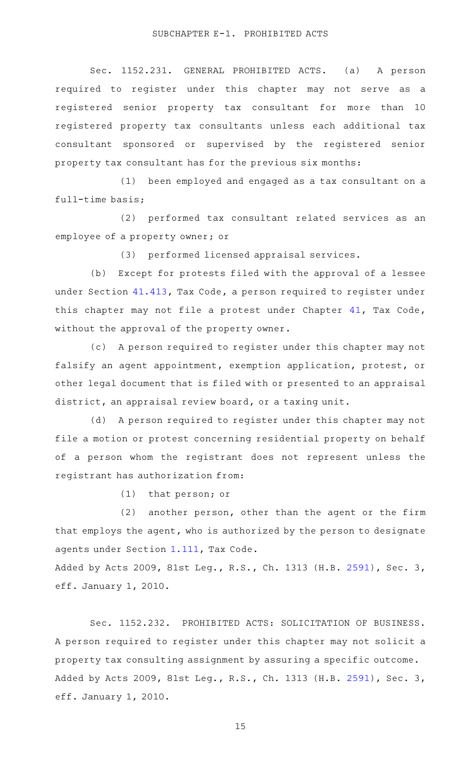Sec. 1152.231. GENERAL PROHIBITED ACTS. (a) A person required to register under this chapter may not serve as a registered senior property tax consultant for more than 10 registered property tax consultants unless each additional tax consultant sponsored or supervised by the registered senior property tax consultant has for the previous six months:

(1) been employed and engaged as a tax consultant on a full-time basis;

(2) performed tax consultant related services as an employee of a property owner; or

(3) performed licensed appraisal services.

(b) Except for protests filed with the approval of a lessee under Section [41.413,](http://www.statutes.legis.state.tx.us/GetStatute.aspx?Code=TX&Value=41.413) Tax Code, a person required to register under this chapter may not file a protest under Chapter [41](http://www.statutes.legis.state.tx.us/GetStatute.aspx?Code=TX&Value=41), Tax Code, without the approval of the property owner.

(c) A person required to register under this chapter may not falsify an agent appointment, exemption application, protest, or other legal document that is filed with or presented to an appraisal district, an appraisal review board, or a taxing unit.

(d) A person required to register under this chapter may not file a motion or protest concerning residential property on behalf of a person whom the registrant does not represent unless the registrant has authorization from:

 $(1)$  that person; or

 $(2)$  another person, other than the agent or the firm that employs the agent, who is authorized by the person to designate agents under Section [1.111,](http://www.statutes.legis.state.tx.us/GetStatute.aspx?Code=TX&Value=1.111) Tax Code.

Added by Acts 2009, 81st Leg., R.S., Ch. 1313 (H.B. [2591\)](http://www.legis.state.tx.us/tlodocs/81R/billtext/html/HB02591F.HTM), Sec. 3, eff. January 1, 2010.

Sec. 1152.232. PROHIBITED ACTS: SOLICITATION OF BUSINESS. A person required to register under this chapter may not solicit a property tax consulting assignment by assuring a specific outcome. Added by Acts 2009, 81st Leg., R.S., Ch. 1313 (H.B. [2591\)](http://www.legis.state.tx.us/tlodocs/81R/billtext/html/HB02591F.HTM), Sec. 3, eff. January 1, 2010.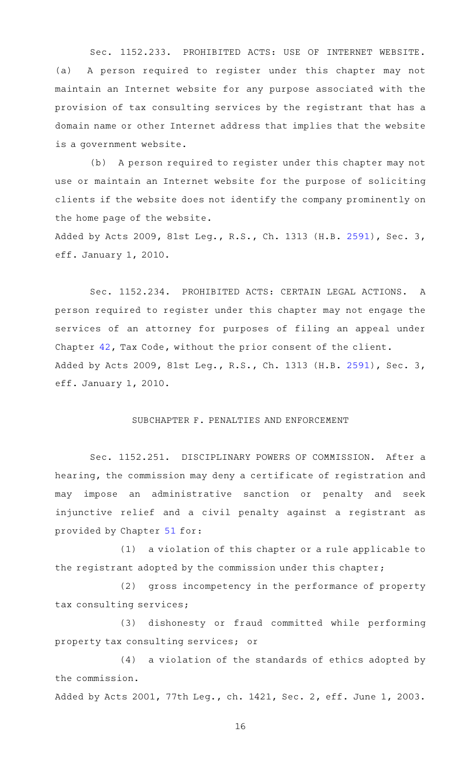Sec. 1152.233. PROHIBITED ACTS: USE OF INTERNET WEBSITE. (a) A person required to register under this chapter may not maintain an Internet website for any purpose associated with the provision of tax consulting services by the registrant that has a domain name or other Internet address that implies that the website is a government website.

(b) A person required to register under this chapter may not use or maintain an Internet website for the purpose of soliciting clients if the website does not identify the company prominently on the home page of the website.

Added by Acts 2009, 81st Leg., R.S., Ch. 1313 (H.B. [2591\)](http://www.legis.state.tx.us/tlodocs/81R/billtext/html/HB02591F.HTM), Sec. 3, eff. January 1, 2010.

Sec. 1152.234. PROHIBITED ACTS: CERTAIN LEGAL ACTIONS. A person required to register under this chapter may not engage the services of an attorney for purposes of filing an appeal under Chapter [42,](http://www.statutes.legis.state.tx.us/GetStatute.aspx?Code=TX&Value=42) Tax Code, without the prior consent of the client. Added by Acts 2009, 81st Leg., R.S., Ch. 1313 (H.B. [2591\)](http://www.legis.state.tx.us/tlodocs/81R/billtext/html/HB02591F.HTM), Sec. 3, eff. January 1, 2010.

# SUBCHAPTER F. PENALTIES AND ENFORCEMENT

Sec. 1152.251. DISCIPLINARY POWERS OF COMMISSION. After a hearing, the commission may deny a certificate of registration and may impose an administrative sanction or penalty and seek injunctive relief and a civil penalty against a registrant as provided by Chapter [51](http://www.statutes.legis.state.tx.us/GetStatute.aspx?Code=OC&Value=51) for:

 $(1)$  a violation of this chapter or a rule applicable to the registrant adopted by the commission under this chapter;

(2) gross incompetency in the performance of property tax consulting services;

(3) dishonesty or fraud committed while performing property tax consulting services; or

 $(4)$  a violation of the standards of ethics adopted by the commission.

Added by Acts 2001, 77th Leg., ch. 1421, Sec. 2, eff. June 1, 2003.